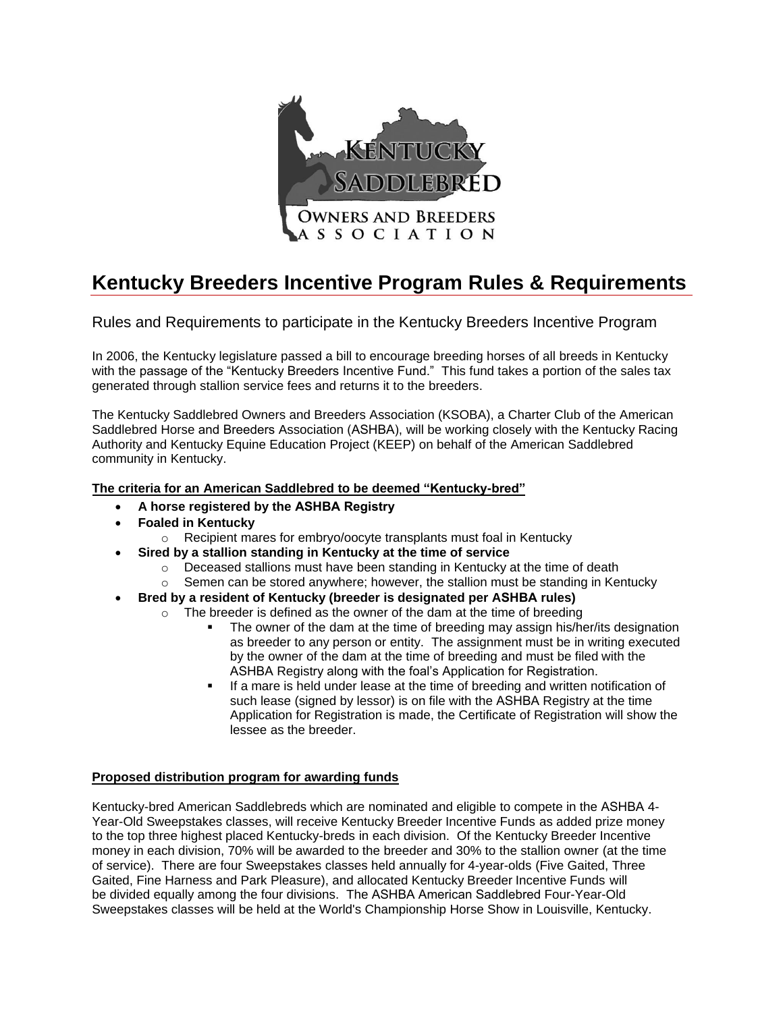

# **Kentucky Breeders Incentive Program Rules & Requirements**

Rules and Requirements to participate in the Kentucky Breeders Incentive Program

In 2006, the Kentucky legislature passed a bill to encourage breeding horses of all breeds in Kentucky with the passage of the "Kentucky Breeders Incentive Fund." This fund takes a portion of the sales tax generated through stallion service fees and returns it to the breeders.

The Kentucky Saddlebred Owners and Breeders Association (KSOBA), a Charter Club of the American Saddlebred Horse and Breeders Association (ASHBA), will be working closely with the Kentucky Racing Authority and Kentucky Equine Education Project (KEEP) on behalf of the American Saddlebred community in Kentucky.

## **The criteria for an American Saddlebred to be deemed "Kentucky-bred"**

- **A horse registered by the ASHBA Registry**
- **Foaled in Kentucky**
	- o Recipient mares for embryo/oocyte transplants must foal in Kentucky
- **Sired by a stallion standing in Kentucky at the time of service**
	- $\circ$  Deceased stallions must have been standing in Kentucky at the time of death
	- $\circ$  Semen can be stored anywhere; however, the stallion must be standing in Kentucky
- **Bred by a resident of Kentucky (breeder is designated per ASHBA rules)**
	- $\circ$  The breeder is defined as the owner of the dam at the time of breeding
		- The owner of the dam at the time of breeding may assign his/her/its designation as breeder to any person or entity. The assignment must be in writing executed by the owner of the dam at the time of breeding and must be filed with the ASHBA Registry along with the foal's Application for Registration.
		- If a mare is held under lease at the time of breeding and written notification of such lease (signed by lessor) is on file with the ASHBA Registry at the time Application for Registration is made, the Certificate of Registration will show the lessee as the breeder.

## **Proposed distribution program for awarding funds**

Kentucky-bred American Saddlebreds which are nominated and eligible to compete in the ASHBA 4- Year-Old Sweepstakes classes, will receive Kentucky Breeder Incentive Funds as added prize money to the top three highest placed Kentucky-breds in each division. Of the Kentucky Breeder Incentive money in each division, 70% will be awarded to the breeder and 30% to the stallion owner (at the time of service). There are four Sweepstakes classes held annually for 4-year-olds (Five Gaited, Three Gaited, Fine Harness and Park Pleasure), and allocated Kentucky Breeder Incentive Funds will be divided equally among the four divisions. The ASHBA American Saddlebred Four-Year-Old Sweepstakes classes will be held at the World's Championship Horse Show in Louisville, Kentucky.